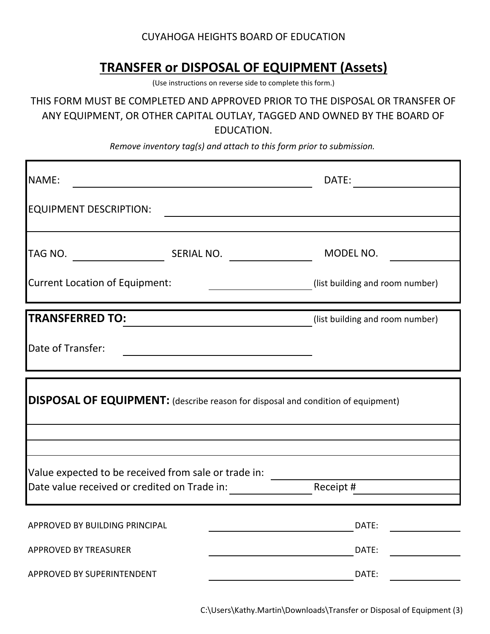## CUYAHOGA HEIGHTS BOARD OF EDUCATION

## **TRANSFER or DISPOSAL OF EQUIPMENT (Assets)**

(Use instructions on reverse side to complete this form.)

THIS FORM MUST BE COMPLETED AND APPROVED PRIOR TO THE DISPOSAL OR TRANSFER OF ANY EQUIPMENT, OR OTHER CAPITAL OUTLAY, TAGGED AND OWNED BY THE BOARD OF EDUCATION.

*Remove inventory tag(s) and attach to this form prior to submission.*

| NAME:                                                                                                          |  | DATE:                           |
|----------------------------------------------------------------------------------------------------------------|--|---------------------------------|
| <b>EQUIPMENT DESCRIPTION:</b>                                                                                  |  |                                 |
|                                                                                                                |  | MODEL NO.                       |
| <b>Current Location of Equipment:</b>                                                                          |  | (list building and room number) |
| <b>TRANSFERRED TO:</b>                                                                                         |  | (list building and room number) |
| Date of Transfer:                                                                                              |  |                                 |
| <b>DISPOSAL OF EQUIPMENT:</b> (describe reason for disposal and condition of equipment)                        |  |                                 |
|                                                                                                                |  |                                 |
| Value expected to be received from sale or trade in:<br>Date value received or credited on Trade in: Receipt # |  |                                 |
| APPROVED BY BUILDING PRINCIPAL                                                                                 |  | DATE:                           |
| APPROVED BY TREASURER                                                                                          |  | DATE:                           |

C:\Users\Kathy.Martin\Downloads\Transfer or Disposal of Equipment (3)